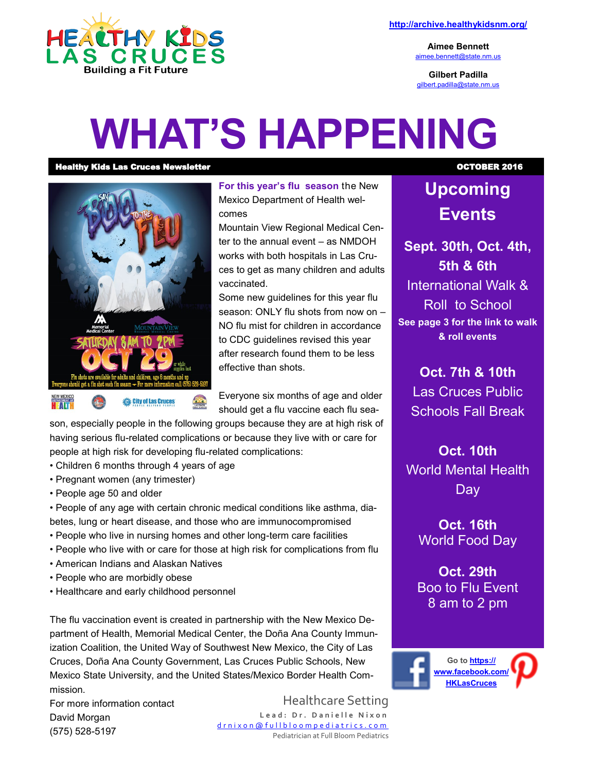

**Aimee Bennett** [aimee.bennett@state.nm.us](mailto:aimee.bennett@state.nm.us)

**Gilbert Padilla** [gilbert.padilla@state.nm.us](mailto:gilbert.padilla@state.nm.us)

# **WHAT'S HAPPENING**

Healthy Kids Las Cruces Newsletter **Newsletter Newsletter Newsletter OCTOBER 2016** 



**For this year's flu season** the New Mexico Department of Health welcomes

Mountain View Regional Medical Center to the annual event – as NMDOH works with both hospitals in Las Cruces to get as many children and adults vaccinated.

Some new guidelines for this year flu season: ONLY flu shots from now on – NO flu mist for children in accordance to CDC guidelines revised this year after research found them to be less effective than shots.

Everyone six months of age and older should get a flu vaccine each flu sea-

son, especially people in the following groups because they are at high risk of having serious flu-related complications or because they live with or care for people at high risk for developing flu-related complications:

- Children 6 months through 4 years of age
- Pregnant women (any trimester)
- People age 50 and older

• People of any age with certain chronic medical conditions like asthma, diabetes, lung or heart disease, and those who are immunocompromised

- People who live in nursing homes and other long-term care facilities
- People who live with or care for those at high risk for complications from flu
- American Indians and Alaskan Natives
- People who are morbidly obese
- Healthcare and early childhood personnel

The flu vaccination event is created in partnership with the New Mexico Department of Health, Memorial Medical Center, the Doña Ana County Immunization Coalition, the United Way of Southwest New Mexico, the City of Las Cruces, Doña Ana County Government, Las Cruces Public Schools, New Mexico State University, and the United States/Mexico Border Health Commission.

For more information contact David Morgan (575) 528-5197

Healthcare Setting Lead: Dr. Danielle Nixon [d r n i x o n @ f u l l b l o o m p e d i a t r i c s . c o m](mailto:drnixon@fullbloompediatrics.com) Pediatrician at Full Bloom Pediatrics

# **Upcoming Events**

**Sept. 30th, Oct. 4th, 5th & 6th** International Walk & Roll to School **See page 3 for the link to walk & roll events**

**Oct. 7th & 10th**

Las Cruces Public Schools Fall Break

**Oct. 10th** World Mental Health Day

**Oct. 16th** World Food Day

**Oct. 29th**  Boo to Flu Event 8 am to 2 pm

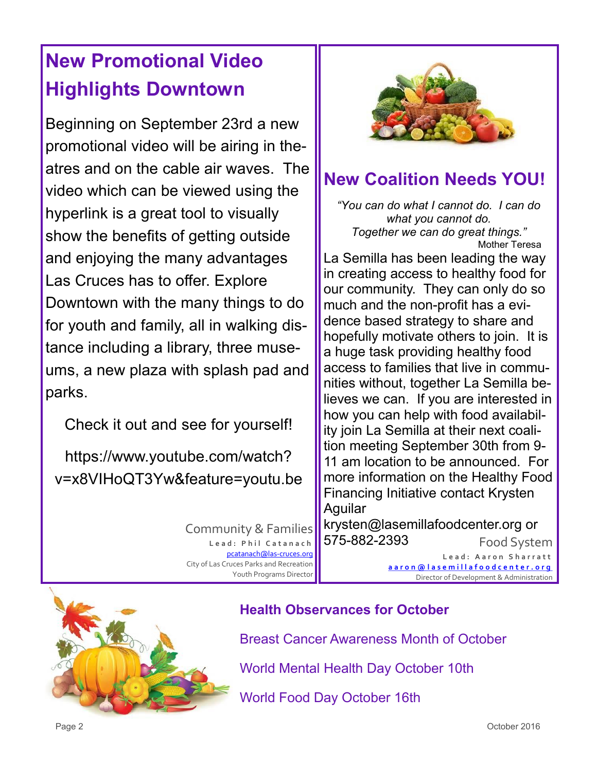# **New Promotional Video Highlights Downtown**

Beginning on September 23rd a new promotional video will be airing in theatres and on the cable air waves. The video which can be viewed using the hyperlink is a great tool to visually show the benefits of getting outside and enjoying the many advantages Las Cruces has to offer. Explore Downtown with the many things to do for youth and family, all in walking distance including a library, three museums, a new plaza with splash pad and parks.

Check it out and see for yourself!

https://www.youtube.com/watch? v=x8VIHoQT3Yw&feature=youtu.be

> Community & Families Lead: Phil Catanach [pcatanach@las](mailto:mjohnston@las-cruces.org)-cruces.org City of Las Cruces Parks and Recreation Youth Programs Director



## **New Coalition Needs YOU!**

*"You can do what I cannot do. I can do what you cannot do. Together we can do great things."* Mother Teresa La Semilla has been leading the way in creating access to healthy food for our community. They can only do so much and the non-profit has a evidence based strategy to share and hopefully motivate others to join. It is a huge task providing healthy food access to families that live in communities without, together La Semilla believes we can. If you are interested in how you can help with food availability join La Semilla at their next coalition meeting September 30th from 9- 11 am location to be announced. For more information on the Healthy Food Financing Initiative contact Krysten Aguilar

Food System krysten@lasemillafoodcenter.org or 575-882-2393

> **L e a d : A a r o n S h a r r a t t [a a r o n @ l a s e m i l l a f o o d c e n t e r . o r g](mailto:aaron@lasemillafoodcenter.org)** Director of Development & Administration



#### **Health Observances for October**

Breast Cancer Awareness Month of October

World Mental Health Day October 10th

World Food Day October 16th